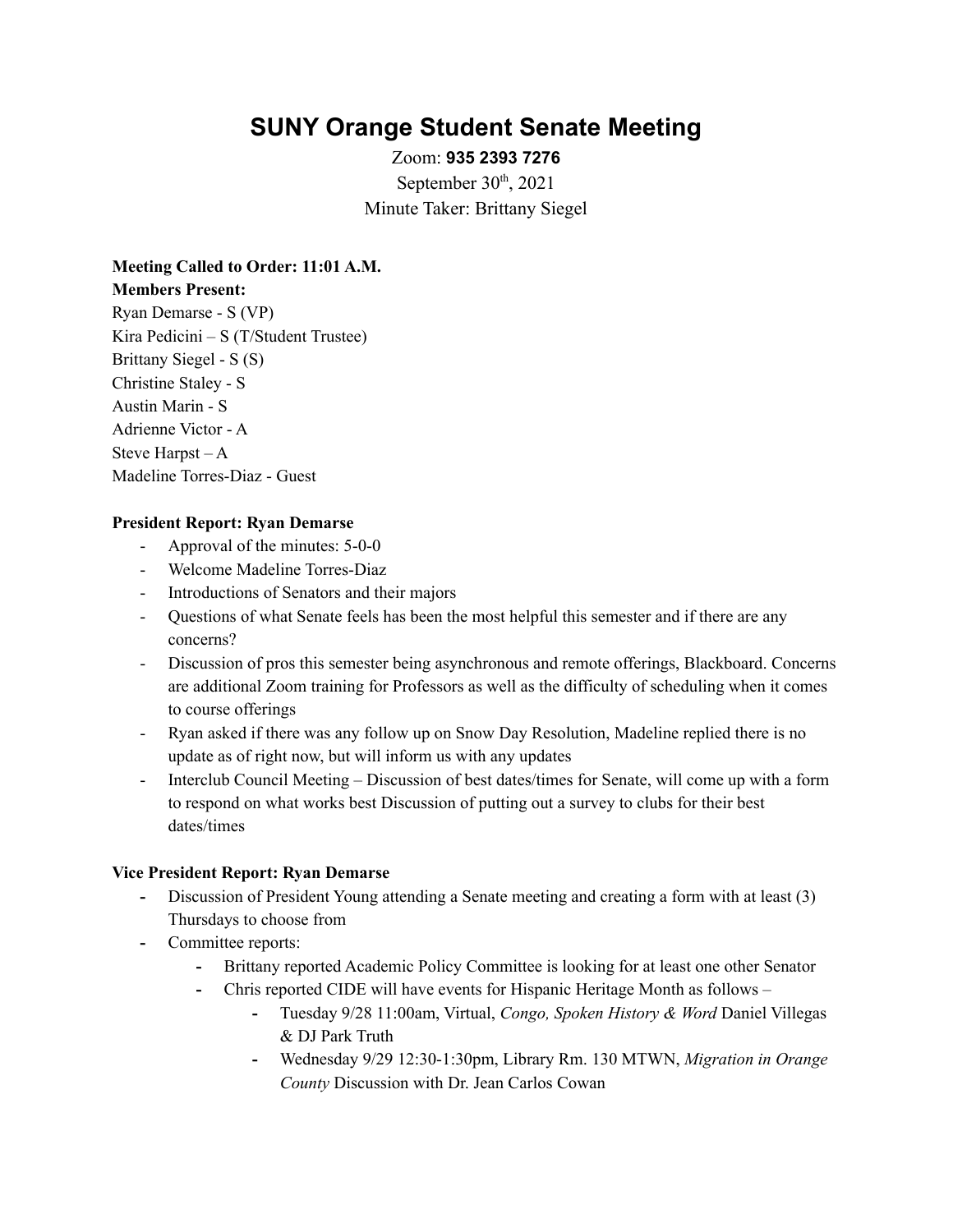# **SUNY Orange Student Senate Meeting**

Zoom: **935 2393 7276** September  $30<sup>th</sup>$ , 2021 Minute Taker: Brittany Siegel

**Meeting Called to Order: 11:01 A.M. Members Present:** Ryan Demarse - S (VP) Kira Pedicini – S (T/Student Trustee) Brittany Siegel - S (S) Christine Staley - S Austin Marin - S Adrienne Victor - A Steve Harpst – A Madeline Torres-Diaz - Guest

#### **President Report: Ryan Demarse**

- Approval of the minutes: 5-0-0
- Welcome Madeline Torres-Diaz
- Introductions of Senators and their majors
- Questions of what Senate feels has been the most helpful this semester and if there are any concerns?
- Discussion of pros this semester being asynchronous and remote offerings, Blackboard. Concerns are additional Zoom training for Professors as well as the difficulty of scheduling when it comes to course offerings
- Ryan asked if there was any follow up on Snow Day Resolution, Madeline replied there is no update as of right now, but will inform us with any updates
- Interclub Council Meeting Discussion of best dates/times for Senate, will come up with a form to respond on what works best Discussion of putting out a survey to clubs for their best dates/times

#### **Vice President Report: Ryan Demarse**

- **-** Discussion of President Young attending a Senate meeting and creating a form with at least (3) Thursdays to choose from
- **-** Committee reports:
	- **-** Brittany reported Academic Policy Committee is looking for at least one other Senator
	- **-** Chris reported CIDE will have events for Hispanic Heritage Month as follows
		- **-** Tuesday 9/28 11:00am, Virtual, *Congo, Spoken History & Word* Daniel Villegas & DJ Park Truth
		- **-** Wednesday 9/29 12:30-1:30pm, Library Rm. 130 MTWN, *Migration in Orange County* Discussion with Dr. Jean Carlos Cowan